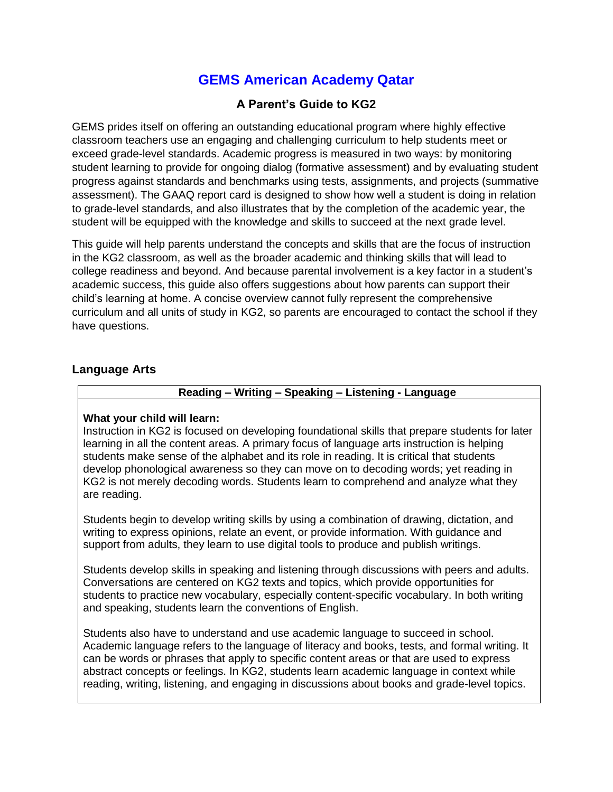# **GEMS American Academy Qatar**

# **A Parent's Guide to KG2**

GEMS prides itself on offering an outstanding educational program where highly effective classroom teachers use an engaging and challenging curriculum to help students meet or exceed grade-level standards. Academic progress is measured in two ways: by monitoring student learning to provide for ongoing dialog (formative assessment) and by evaluating student progress against standards and benchmarks using tests, assignments, and projects (summative assessment). The GAAQ report card is designed to show how well a student is doing in relation to grade-level standards, and also illustrates that by the completion of the academic year, the student will be equipped with the knowledge and skills to succeed at the next grade level.

This guide will help parents understand the concepts and skills that are the focus of instruction in the KG2 classroom, as well as the broader academic and thinking skills that will lead to college readiness and beyond. And because parental involvement is a key factor in a student's academic success, this guide also offers suggestions about how parents can support their child's learning at home. A concise overview cannot fully represent the comprehensive curriculum and all units of study in KG2, so parents are encouraged to contact the school if they have questions.

### **Language Arts**

# **Reading – Writing – Speaking – Listening - Language**

### **What your child will learn:**

Instruction in KG2 is focused on developing foundational skills that prepare students for later learning in all the content areas. A primary focus of language arts instruction is helping students make sense of the alphabet and its role in reading. It is critical that students develop phonological awareness so they can move on to decoding words; yet reading in KG2 is not merely decoding words. Students learn to comprehend and analyze what they are reading.

Students begin to develop writing skills by using a combination of drawing, dictation, and writing to express opinions, relate an event, or provide information. With guidance and support from adults, they learn to use digital tools to produce and publish writings.

Students develop skills in speaking and listening through discussions with peers and adults. Conversations are centered on KG2 texts and topics, which provide opportunities for students to practice new vocabulary, especially content-specific vocabulary. In both writing and speaking, students learn the conventions of English.

Students also have to understand and use academic language to succeed in school. Academic language refers to the language of literacy and books, tests, and formal writing. It can be words or phrases that apply to specific content areas or that are used to express abstract concepts or feelings. In KG2, students learn academic language in context while reading, writing, listening, and engaging in discussions about books and grade-level topics.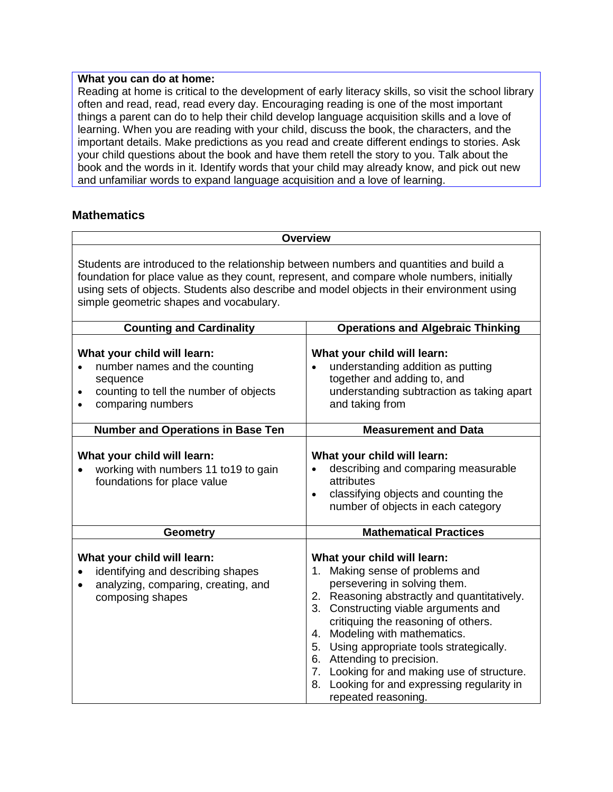#### **What you can do at home:**

Reading at home is critical to the development of early literacy skills, so visit the school library often and read, read, read every day. Encouraging reading is one of the most important things a parent can do to help their child develop language acquisition skills and a love of learning. When you are reading with your child, discuss the book, the characters, and the important details. Make predictions as you read and create different endings to stories. Ask your child questions about the book and have them retell the story to you. Talk about the book and the words in it. Identify words that your child may already know, and pick out new and unfamiliar words to expand language acquisition and a love of learning.

# **Mathematics**

| <b>Overview</b>                                                                                                                                                                                                                                                                                                              |                                                                                                                                                                                                                                                                                                                                                                                                                                                               |
|------------------------------------------------------------------------------------------------------------------------------------------------------------------------------------------------------------------------------------------------------------------------------------------------------------------------------|---------------------------------------------------------------------------------------------------------------------------------------------------------------------------------------------------------------------------------------------------------------------------------------------------------------------------------------------------------------------------------------------------------------------------------------------------------------|
| Students are introduced to the relationship between numbers and quantities and build a<br>foundation for place value as they count, represent, and compare whole numbers, initially<br>using sets of objects. Students also describe and model objects in their environment using<br>simple geometric shapes and vocabulary. |                                                                                                                                                                                                                                                                                                                                                                                                                                                               |
| <b>Counting and Cardinality</b>                                                                                                                                                                                                                                                                                              | <b>Operations and Algebraic Thinking</b>                                                                                                                                                                                                                                                                                                                                                                                                                      |
| What your child will learn:<br>number names and the counting<br>sequence<br>counting to tell the number of objects<br>$\bullet$<br>comparing numbers                                                                                                                                                                         | What your child will learn:<br>understanding addition as putting<br>together and adding to, and<br>understanding subtraction as taking apart<br>and taking from                                                                                                                                                                                                                                                                                               |
| <b>Number and Operations in Base Ten</b>                                                                                                                                                                                                                                                                                     | <b>Measurement and Data</b>                                                                                                                                                                                                                                                                                                                                                                                                                                   |
| What your child will learn:<br>working with numbers 11 to19 to gain<br>foundations for place value                                                                                                                                                                                                                           | What your child will learn:<br>describing and comparing measurable<br>$\bullet$<br>attributes<br>classifying objects and counting the<br>$\bullet$<br>number of objects in each category                                                                                                                                                                                                                                                                      |
| <b>Geometry</b>                                                                                                                                                                                                                                                                                                              | <b>Mathematical Practices</b>                                                                                                                                                                                                                                                                                                                                                                                                                                 |
| What your child will learn:<br>identifying and describing shapes<br>analyzing, comparing, creating, and<br>composing shapes                                                                                                                                                                                                  | What your child will learn:<br>1. Making sense of problems and<br>persevering in solving them.<br>2. Reasoning abstractly and quantitatively.<br>3. Constructing viable arguments and<br>critiquing the reasoning of others.<br>4. Modeling with mathematics.<br>5. Using appropriate tools strategically.<br>6. Attending to precision.<br>7. Looking for and making use of structure.<br>8. Looking for and expressing regularity in<br>repeated reasoning. |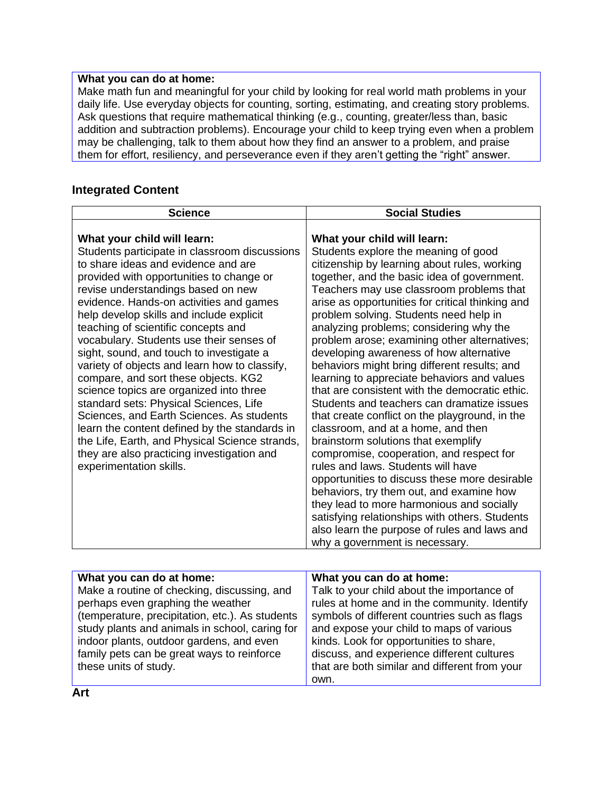## **What you can do at home:**

Make math fun and meaningful for your child by looking for real world math problems in your daily life. Use everyday objects for counting, sorting, estimating, and creating story problems. Ask questions that require mathematical thinking (e.g., counting, greater/less than, basic addition and subtraction problems). Encourage your child to keep trying even when a problem may be challenging, talk to them about how they find an answer to a problem, and praise them for effort, resiliency, and perseverance even if they aren't getting the "right" answer.

# **Integrated Content**

| <b>Science</b>                                                                                                                                                                                                                                                                                                                                                                                                                                                                                                                                                                                                                                                                                                                                                                                                                     | <b>Social Studies</b>                                                                                                                                                                                                                                                                                                                                                                                                                                                                                                                                                                                                                                                                                                                                                                                                                                                                                                                                                                                                                                                                                                                            |
|------------------------------------------------------------------------------------------------------------------------------------------------------------------------------------------------------------------------------------------------------------------------------------------------------------------------------------------------------------------------------------------------------------------------------------------------------------------------------------------------------------------------------------------------------------------------------------------------------------------------------------------------------------------------------------------------------------------------------------------------------------------------------------------------------------------------------------|--------------------------------------------------------------------------------------------------------------------------------------------------------------------------------------------------------------------------------------------------------------------------------------------------------------------------------------------------------------------------------------------------------------------------------------------------------------------------------------------------------------------------------------------------------------------------------------------------------------------------------------------------------------------------------------------------------------------------------------------------------------------------------------------------------------------------------------------------------------------------------------------------------------------------------------------------------------------------------------------------------------------------------------------------------------------------------------------------------------------------------------------------|
| What your child will learn:<br>Students participate in classroom discussions<br>to share ideas and evidence and are<br>provided with opportunities to change or<br>revise understandings based on new<br>evidence. Hands-on activities and games<br>help develop skills and include explicit<br>teaching of scientific concepts and<br>vocabulary. Students use their senses of<br>sight, sound, and touch to investigate a<br>variety of objects and learn how to classify,<br>compare, and sort these objects. KG2<br>science topics are organized into three<br>standard sets: Physical Sciences, Life<br>Sciences, and Earth Sciences. As students<br>learn the content defined by the standards in<br>the Life, Earth, and Physical Science strands,<br>they are also practicing investigation and<br>experimentation skills. | What your child will learn:<br>Students explore the meaning of good<br>citizenship by learning about rules, working<br>together, and the basic idea of government.<br>Teachers may use classroom problems that<br>arise as opportunities for critical thinking and<br>problem solving. Students need help in<br>analyzing problems; considering why the<br>problem arose; examining other alternatives;<br>developing awareness of how alternative<br>behaviors might bring different results; and<br>learning to appreciate behaviors and values<br>that are consistent with the democratic ethic.<br>Students and teachers can dramatize issues<br>that create conflict on the playground, in the<br>classroom, and at a home, and then<br>brainstorm solutions that exemplify<br>compromise, cooperation, and respect for<br>rules and laws. Students will have<br>opportunities to discuss these more desirable<br>behaviors, try them out, and examine how<br>they lead to more harmonious and socially<br>satisfying relationships with others. Students<br>also learn the purpose of rules and laws and<br>why a government is necessary. |

| What you can do at home:                        | What you can do at home:                      |
|-------------------------------------------------|-----------------------------------------------|
| Make a routine of checking, discussing, and     | Talk to your child about the importance of    |
| perhaps even graphing the weather               | rules at home and in the community. Identify  |
| (temperature, precipitation, etc.). As students | symbols of different countries such as flags  |
| study plants and animals in school, caring for  | and expose your child to maps of various      |
| indoor plants, outdoor gardens, and even        | kinds. Look for opportunities to share,       |
| family pets can be great ways to reinforce      | discuss, and experience different cultures    |
| these units of study.                           | that are both similar and different from your |
|                                                 | own.                                          |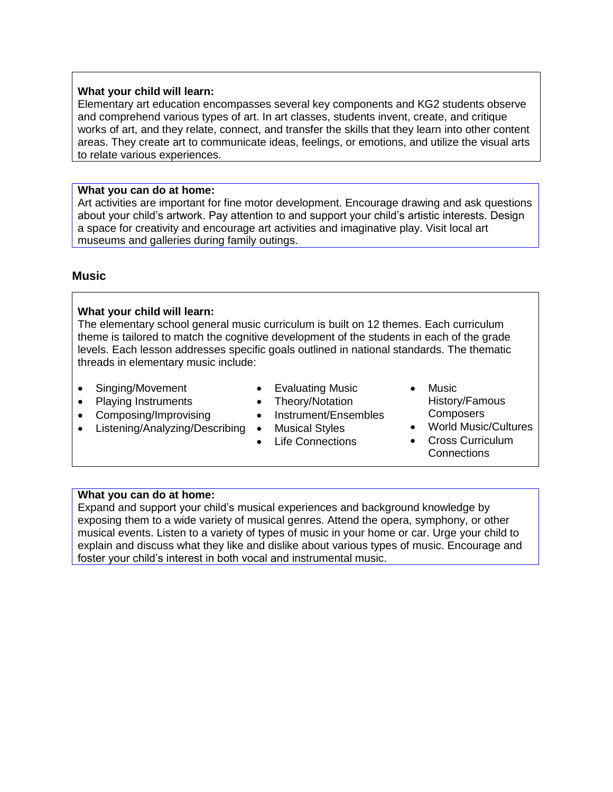#### **What your child will learn:**

Elementary art education encompasses several key components and KG2 students observe and comprehend various types of art. In art classes, students invent, create, and critique works of art, and they relate, connect, and transfer the skills that they learn into other content areas. They create art to communicate ideas, feelings, or emotions, and utilize the visual arts to relate various experiences.

#### **What you can do at home:**

Art activities are important for fine motor development. Encourage drawing and ask questions about your child's artwork. Pay attention to and support your child's artistic interests. Design a space for creativity and encourage art activities and imaginative play. Visit local art museums and galleries during family outings.

# **Music**

### **What your child will learn:**

The elementary school general music curriculum is built on 12 themes. Each curriculum theme is tailored to match the cognitive development of the students in each of the grade levels. Each lesson addresses specific goals outlined in national standards. The thematic threads in elementary music include:

- Singing/Movement
- Playing Instruments
- Composing/Improvising
- Listening/Analyzing/Describing
- Evaluating Music
- Theory/Notation
- Instrument/Ensembles
- Musical Styles
- Life Connections
- Music
	- History/Famous **Composers**
- World Music/Cultures
- Cross Curriculum **Connections**

# **What you can do at home:**

Expand and support your child's musical experiences and background knowledge by exposing them to a wide variety of musical genres. Attend the opera, symphony, or other musical events. Listen to a variety of types of music in your home or car. Urge your child to explain and discuss what they like and dislike about various types of music. Encourage and foster your child's interest in both vocal and instrumental music.